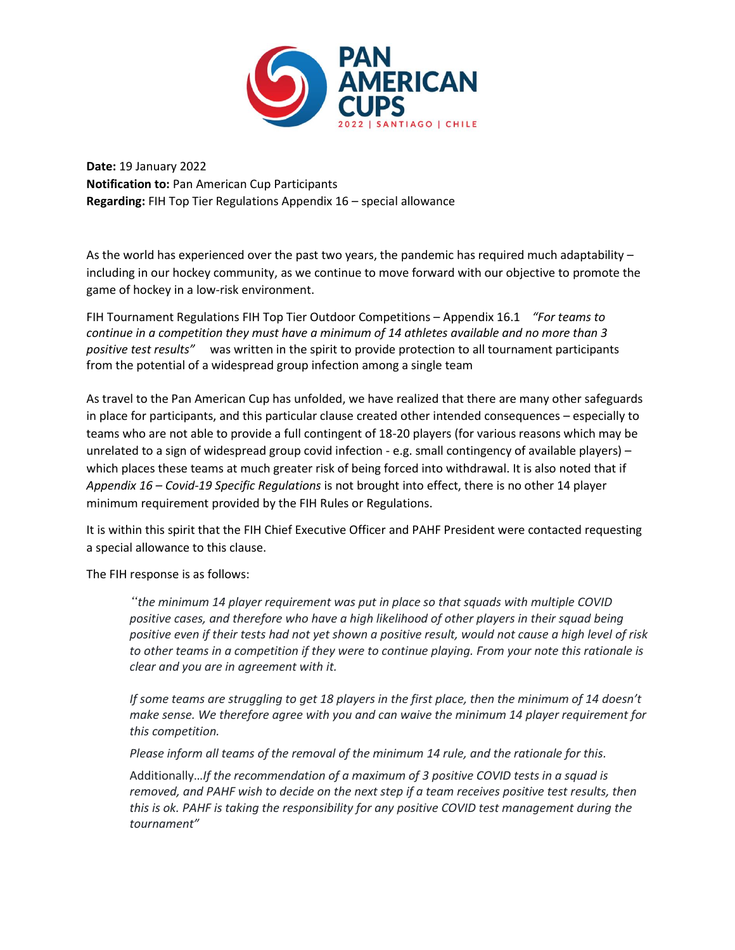

**Date:** 19 January 2022 **Notification to:** Pan American Cup Participants **Regarding:** FIH Top Tier Regulations Appendix 16 – special allowance

As the world has experienced over the past two years, the pandemic has required much adaptability – including in our hockey community, as we continue to move forward with our objective to promote the game of hockey in a low-risk environment.

FIH Tournament Regulations FIH Top Tier Outdoor Competitions – Appendix 16.1 *"For teams to continue in a competition they must have a minimum of 14 athletes available and no more than 3 positive test results"*was written in the spirit to provide protection to all tournament participants from the potential of a widespread group infection among a single team

As travel to the Pan American Cup has unfolded, we have realized that there are many other safeguards in place for participants, and this particular clause created other intended consequences – especially to teams who are not able to provide a full contingent of 18-20 players (for various reasons which may be unrelated to a sign of widespread group covid infection - e.g. small contingency of available players) – which places these teams at much greater risk of being forced into withdrawal. It is also noted that if *Appendix 16 – Covid-19 Specific Regulations* is not brought into effect, there is no other 14 player minimum requirement provided by the FIH Rules or Regulations.

It is within this spirit that the FIH Chief Executive Officer and PAHF President were contacted requesting a special allowance to this clause.

The FIH response is as follows:

*"the minimum 14 player requirement was put in place so that squads with multiple COVID positive cases, and therefore who have a high likelihood of other players in their squad being positive even if their tests had not yet shown a positive result, would not cause a high level of risk to other teams in a competition if they were to continue playing. From your note this rationale is clear and you are in agreement with it.*

*If some teams are struggling to get 18 players in the first place, then the minimum of 14 doesn't make sense. We therefore agree with you and can waive the minimum 14 player requirement for this competition.*

*Please inform all teams of the removal of the minimum 14 rule, and the rationale for this.*

Additionally…*If the recommendation of a maximum of 3 positive COVID tests in a squad is removed, and PAHF wish to decide on the next step if a team receives positive test results, then this is ok. PAHF is taking the responsibility for any positive COVID test management during the tournament"*